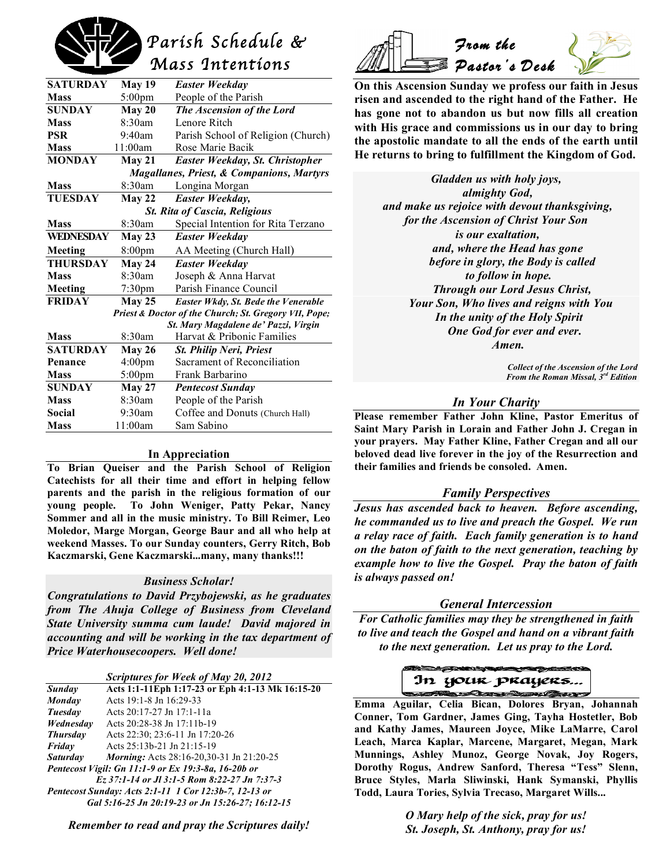# *Parish Schedule & Mass Intentions*

| <b>SATURDAY</b>                                       | <b>May 19</b>      | Easter Weekday                      |  |  |
|-------------------------------------------------------|--------------------|-------------------------------------|--|--|
| <b>Mass</b>                                           | $5:00 \text{pm}$   | People of the Parish                |  |  |
| <b>SUNDAY</b>                                         | May 20             | The Ascension of the Lord           |  |  |
| <b>Mass</b>                                           | 8:30am             | Lenore Ritch                        |  |  |
| <b>PSR</b>                                            | 9:40am             | Parish School of Religion (Church)  |  |  |
| <b>Mass</b>                                           | 11:00am            | Rose Marie Bacik                    |  |  |
| <b>MONDAY</b>                                         | May 21             | Easter Weekday, St. Christopher     |  |  |
| <b>Magallanes, Priest, &amp; Companions, Martyrs</b>  |                    |                                     |  |  |
| <b>Mass</b>                                           | 8:30am             | Longina Morgan                      |  |  |
| <b>TUESDAY</b>                                        | $M$ ay 22          | Easter Weekday,                     |  |  |
| <b>St. Rita of Cascia, Religious</b>                  |                    |                                     |  |  |
| <b>Mass</b>                                           | 8:30am             | Special Intention for Rita Terzano  |  |  |
| WEDNESDAY                                             | <b>May 23</b>      | Easter Weekday                      |  |  |
| Meeting                                               | 8:00 <sub>pm</sub> | AA Meeting (Church Hall)            |  |  |
| THURSDAY                                              | <b>May 24</b>      | <b>Easter Weekday</b>               |  |  |
| <b>Mass</b>                                           | 8:30am             | Joseph & Anna Harvat                |  |  |
| Meeting                                               | $7:30$ pm          | Parish Finance Council              |  |  |
| <b>FRIDAY</b>                                         | $M$ ay 25          | Easter Wkdy, St. Bede the Venerable |  |  |
| Priest & Doctor of the Church; St. Gregory VII, Pope; |                    |                                     |  |  |
| St. Mary Magdalene de' Pazzi, Virgin                  |                    |                                     |  |  |
| <b>Mass</b>                                           | 8:30am             | Harvat & Pribonic Families          |  |  |
| <b>SATURDAY</b>                                       | May 26             | St. Philip Neri, Priest             |  |  |
| Penance                                               | 4:00 <sub>pm</sub> | Sacrament of Reconciliation         |  |  |
| <b>Mass</b>                                           | $5:00$ pm          | Frank Barbarino                     |  |  |
| <b>SUNDAY</b>                                         | <b>May 27</b>      | <b>Pentecost Sunday</b>             |  |  |
| <b>Mass</b>                                           | 8:30am             | People of the Parish                |  |  |
| Social                                                | 9:30am             | Coffee and Donuts (Church Hall)     |  |  |
| <b>Mass</b>                                           | 11:00am            | Sam Sabino                          |  |  |
|                                                       |                    |                                     |  |  |

#### **In Appreciation**

**To Brian Queiser and the Parish School of Religion Catechists for all their time and effort in helping fellow parents and the parish in the religious formation of our young people. To John Weniger, Patty Pekar, Nancy Sommer and all in the music ministry. To Bill Reimer, Leo Moledor, Marge Morgan, George Baur and all who help at weekend Masses. To our Sunday counters, Gerry Ritch, Bob Kaczmarski, Gene Kaczmarski...many, many thanks!!!**

#### *Business Scholar!*

*Congratulations to David Przybojewski, as he graduates from The Ahuja College of Business from Cleveland State University summa cum laude! David majored in accounting and will be working in the tax department of Price Waterhousecoopers. Well done!*

| <b>Scriptures for Week of May 20, 2012</b>            |                                                  |  |  |
|-------------------------------------------------------|--------------------------------------------------|--|--|
| Sunday                                                | Acts 1:1-11Eph 1:17-23 or Eph 4:1-13 Mk 16:15-20 |  |  |
| <b>Monday</b>                                         | Acts 19:1-8 Jn 16:29-33                          |  |  |
| Tuesday                                               | Acts 20:17-27 Jn 17:1-11a                        |  |  |
| Wednesday                                             | Acts 20:28-38 Jn 17:11b-19                       |  |  |
| <b>Thursday</b>                                       | Acts 22:30; 23:6-11 Jn 17:20-26                  |  |  |
| Friday                                                | Acts 25:13b-21 Jn 21:15-19                       |  |  |
| <b>Saturday</b>                                       | <i>Morning</i> : Acts 28:16-20.30-31 Jn 21:20-25 |  |  |
| Pentecost Vigil: Gn 11:1-9 or Ex 19:3-8a, 16-20b or   |                                                  |  |  |
| Ez 37:1-14 or Jl 3:1-5 Rom 8:22-27 Jn 7:37-3          |                                                  |  |  |
| Pentecost Sunday: Acts 2:1-11 1 Cor 12:3b-7, 12-13 or |                                                  |  |  |
| Gal 5:16-25 Jn 20:19-23 or Jn 15:26-27; 16:12-15      |                                                  |  |  |

*Remember to read and pray the Scriptures daily!*



**On this Ascension Sunday we profess our faith in Jesus risen and ascended to the right hand of the Father. He has gone not to abandon us but now fills all creation with His grace and commissions us in our day to bring the apostolic mandate to all the ends of the earth until He returns to bring to fulfillment the Kingdom of God.**

*Gladden us with holy joys, almighty God, and make us rejoice with devout thanksgiving, for the Ascension of Christ Your Son is our exaltation, and, where the Head has gone before in glory, the Body is called to follow in hope. Through our Lord Jesus Christ, Your Son, Who lives and reigns with You In the unity of the Holy Spirit One God for ever and ever. Amen.*

> *Collect of the Ascension of the Lord From the Roman Missal, 3rd Edition*

#### *In Your Charity*

**Please remember Father John Kline, Pastor Emeritus of Saint Mary Parish in Lorain and Father John J. Cregan in your prayers. May Father Kline, Father Cregan and all our beloved dead live forever in the joy of the Resurrection and their families and friends be consoled. Amen.**

#### *Family Perspectives*

*Jesus has ascended back to heaven. Before ascending, he commanded us to live and preach the Gospel. We run a relay race of faith. Each family generation is to hand on the baton of faith to the next generation, teaching by example how to live the Gospel. Pray the baton of faith is always passed on!*

#### *General Intercession*

*For Catholic families may they be strengthened in faith to live and teach the Gospel and hand on a vibrant faith to the next generation. Let us pray to the Lord.*



 **Emma Aguilar, Celia Bican, Dolores Bryan, Johannah Conner, Tom Gardner, James Ging, Tayha Hostetler, Bob and Kathy James, Maureen Joyce, Mike LaMarre, Carol Leach, Marca Kaplar, Marcene, Margaret, Megan, Mark Munnings, Ashley Munoz, George Novak, Joy Rogers, Dorothy Rogus, Andrew Sanford, Theresa "Tess" Slenn, Bruce Styles, Marla Sliwinski, Hank Symanski, Phyllis Todd, Laura Tories, Sylvia Trecaso, Margaret Wills...**

> *O Mary help of the sick, pray for us! St. Joseph, St. Anthony, pray for us!*